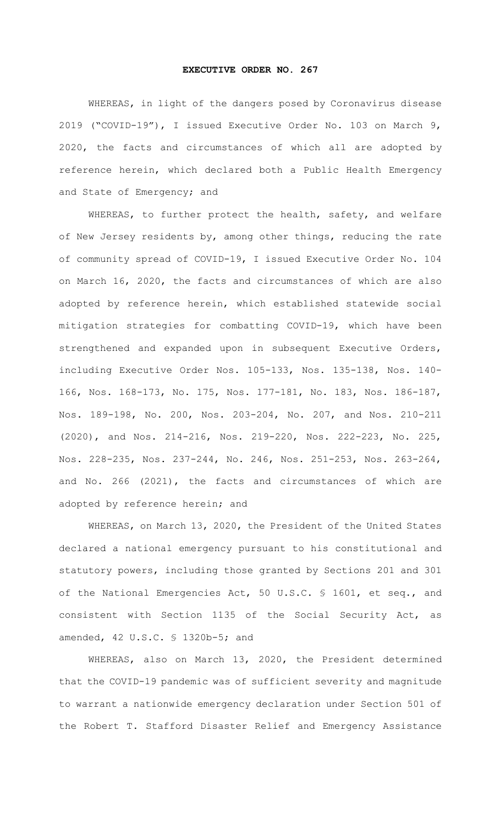## **EXECUTIVE ORDER NO. 267**

WHEREAS, in light of the dangers posed by Coronavirus disease 2019 ("COVID-19"), I issued Executive Order No. 103 on March 9, 2020, the facts and circumstances of which all are adopted by reference herein, which declared both a Public Health Emergency and State of Emergency; and

WHEREAS, to further protect the health, safety, and welfare of New Jersey residents by, among other things, reducing the rate of community spread of COVID-19, I issued Executive Order No. 104 on March 16, 2020, the facts and circumstances of which are also adopted by reference herein, which established statewide social mitigation strategies for combatting COVID-19, which have been strengthened and expanded upon in subsequent Executive Orders, including Executive Order Nos. 105-133, Nos. 135-138, Nos. 140- 166, Nos. 168-173, No. 175, Nos. 177-181, No. 183, Nos. 186-187, Nos. 189-198, No. 200, Nos. 203-204, No. 207, and Nos. 210-211 (2020), and Nos. 214-216, Nos. 219-220, Nos. 222-223, No. 225, Nos. 228-235, Nos. 237-244, No. 246, Nos. 251-253, Nos. 263-264, and No. 266 (2021), the facts and circumstances of which are adopted by reference herein; and

WHEREAS, on March 13, 2020, the President of the United States declared a national emergency pursuant to his constitutional and statutory powers, including those granted by Sections 201 and 301 of the National Emergencies Act, 50 U.S.C. § 1601, et seq., and consistent with Section 1135 of the Social Security Act, as amended, 42 U.S.C. § 1320b-5; and

WHEREAS, also on March 13, 2020, the President determined that the COVID-19 pandemic was of sufficient severity and magnitude to warrant a nationwide emergency declaration under Section 501 of the Robert T. Stafford Disaster Relief and Emergency Assistance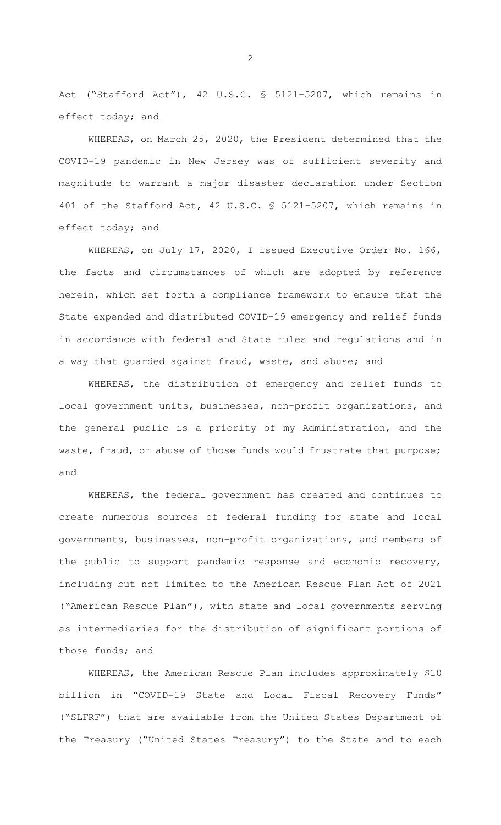Act ("Stafford Act"), 42 U.S.C. § 5121-5207, which remains in effect today; and

WHEREAS, on March 25, 2020, the President determined that the COVID-19 pandemic in New Jersey was of sufficient severity and magnitude to warrant a major disaster declaration under Section 401 of the Stafford Act, 42 U.S.C. § 5121-5207, which remains in effect today; and

WHEREAS, on July 17, 2020, I issued Executive Order No. 166, the facts and circumstances of which are adopted by reference herein, which set forth a compliance framework to ensure that the State expended and distributed COVID-19 emergency and relief funds in accordance with federal and State rules and regulations and in a way that guarded against fraud, waste, and abuse; and

WHEREAS, the distribution of emergency and relief funds to local government units, businesses, non-profit organizations, and the general public is a priority of my Administration, and the waste, fraud, or abuse of those funds would frustrate that purpose; and

WHEREAS, the federal government has created and continues to create numerous sources of federal funding for state and local governments, businesses, non-profit organizations, and members of the public to support pandemic response and economic recovery, including but not limited to the American Rescue Plan Act of 2021 ("American Rescue Plan"), with state and local governments serving as intermediaries for the distribution of significant portions of those funds; and

WHEREAS, the American Rescue Plan includes approximately \$10 billion in "COVID-19 State and Local Fiscal Recovery Funds" ("SLFRF") that are available from the United States Department of the Treasury ("United States Treasury") to the State and to each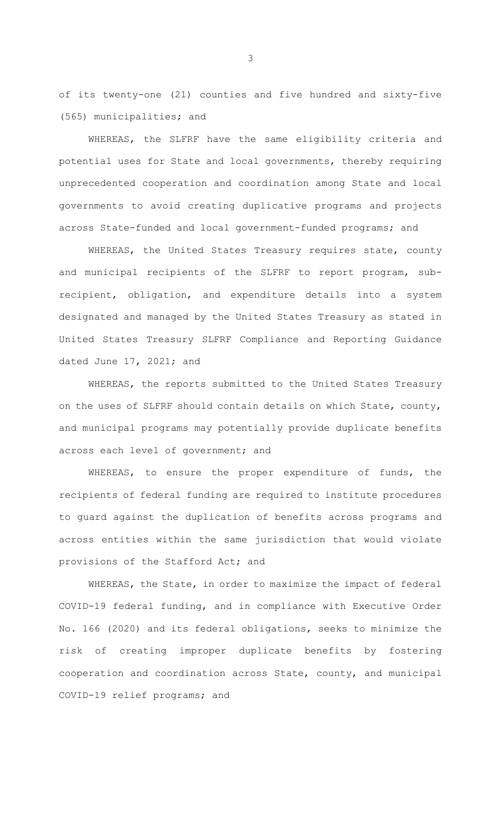of its twenty-one (21) counties and five hundred and sixty-five (565) municipalities; and

WHEREAS, the SLFRF have the same eligibility criteria and potential uses for State and local governments, thereby requiring unprecedented cooperation and coordination among State and local governments to avoid creating duplicative programs and projects across State-funded and local government-funded programs; and

WHEREAS, the United States Treasury requires state, county and municipal recipients of the SLFRF to report program, subrecipient, obligation, and expenditure details into a system designated and managed by the United States Treasury as stated in United States Treasury SLFRF Compliance and Reporting Guidance dated June 17, 2021; and

WHEREAS, the reports submitted to the United States Treasury on the uses of SLFRF should contain details on which State, county, and municipal programs may potentially provide duplicate benefits across each level of government; and

WHEREAS, to ensure the proper expenditure of funds, the recipients of federal funding are required to institute procedures to guard against the duplication of benefits across programs and across entities within the same jurisdiction that would violate provisions of the Stafford Act; and

WHEREAS, the State, in order to maximize the impact of federal COVID-19 federal funding, and in compliance with Executive Order No. 166 (2020) and its federal obligations, seeks to minimize the risk of creating improper duplicate benefits by fostering cooperation and coordination across State, county, and municipal COVID-19 relief programs; and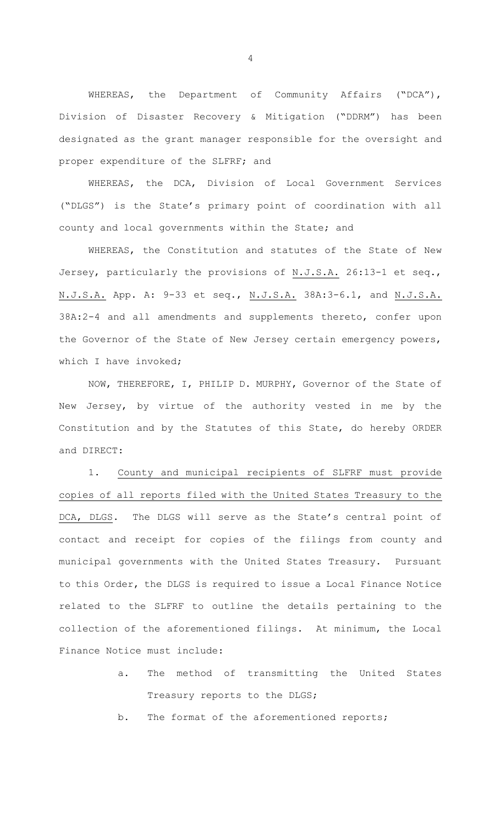WHEREAS, the Department of Community Affairs ("DCA"), Division of Disaster Recovery & Mitigation ("DDRM") has been designated as the grant manager responsible for the oversight and proper expenditure of the SLFRF; and

WHEREAS, the DCA, Division of Local Government Services ("DLGS") is the State's primary point of coordination with all county and local governments within the State; and

WHEREAS, the Constitution and statutes of the State of New Jersey, particularly the provisions of N.J.S.A. 26:13-1 et seq., N.J.S.A. App. A: 9-33 et seq., N.J.S.A. 38A:3-6.1, and N.J.S.A. 38A:2-4 and all amendments and supplements thereto, confer upon the Governor of the State of New Jersey certain emergency powers, which I have invoked;

NOW, THEREFORE, I, PHILIP D. MURPHY, Governor of the State of New Jersey, by virtue of the authority vested in me by the Constitution and by the Statutes of this State, do hereby ORDER and DIRECT:

1. County and municipal recipients of SLFRF must provide copies of all reports filed with the United States Treasury to the DCA, DLGS. The DLGS will serve as the State's central point of contact and receipt for copies of the filings from county and municipal governments with the United States Treasury. Pursuant to this Order, the DLGS is required to issue a Local Finance Notice related to the SLFRF to outline the details pertaining to the collection of the aforementioned filings. At minimum, the Local Finance Notice must include:

> a. The method of transmitting the United States Treasury reports to the DLGS;

b. The format of the aforementioned reports;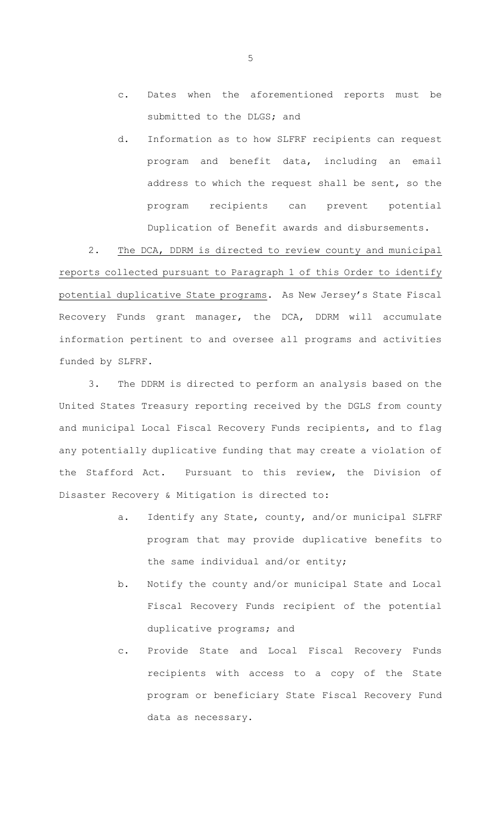- c. Dates when the aforementioned reports must be submitted to the DLGS; and
- d. Information as to how SLFRF recipients can request program and benefit data, including an email address to which the request shall be sent, so the program recipients can prevent potential Duplication of Benefit awards and disbursements.

2. The DCA, DDRM is directed to review county and municipal reports collected pursuant to Paragraph 1 of this Order to identify potential duplicative State programs. As New Jersey's State Fiscal Recovery Funds grant manager, the DCA, DDRM will accumulate information pertinent to and oversee all programs and activities funded by SLFRF.

3. The DDRM is directed to perform an analysis based on the United States Treasury reporting received by the DGLS from county and municipal Local Fiscal Recovery Funds recipients, and to flag any potentially duplicative funding that may create a violation of the Stafford Act. Pursuant to this review, the Division of Disaster Recovery & Mitigation is directed to:

- a. Identify any State, county, and/or municipal SLFRF program that may provide duplicative benefits to the same individual and/or entity;
- b. Notify the county and/or municipal State and Local Fiscal Recovery Funds recipient of the potential duplicative programs; and
- c. Provide State and Local Fiscal Recovery Funds recipients with access to a copy of the State program or beneficiary State Fiscal Recovery Fund data as necessary.